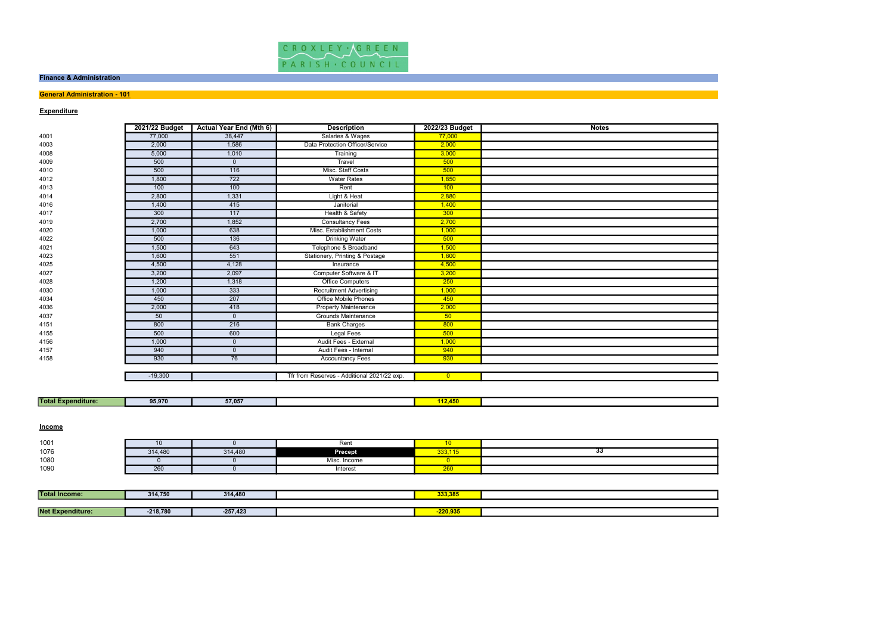

### Finance & Administration

# **General Administration - 101**

# **Expenditure**

|      | 2021/22 Budget | <b>Actual Year End (Mth 6)</b> | <b>Description</b>                          | 2022/23 Budget | <b>Notes</b> |
|------|----------------|--------------------------------|---------------------------------------------|----------------|--------------|
| 4001 | 77,000         | 38,447                         | Salaries & Wages                            | 77,000         |              |
| 4003 | 2,000          | 1,586                          | Data Protection Officer/Service             | 2,000          |              |
| 4008 | 5,000          | 1,010                          | Training                                    | 3,000          |              |
| 4009 | 500            | $\mathbf{0}$                   | Travel                                      | 500            |              |
| 4010 | 500            | 116                            | Misc. Staff Costs                           | 500            |              |
| 4012 | 1,800          | 722                            | <b>Water Rates</b>                          | 1,850          |              |
| 4013 | 100            | 100                            | Rent                                        | 100            |              |
| 4014 | 2,800          | 1,331                          | Light & Heat                                | 2,880          |              |
| 4016 | 1,400          | 415                            | Janitorial                                  | 1,400          |              |
| 4017 | 300            | 117                            | Health & Safety                             | 300            |              |
| 4019 | 2,700          | 1,852                          | <b>Consultancy Fees</b>                     | 2,700          |              |
| 4020 | 1,000          | 638                            | Misc. Establishment Costs                   | 1,000          |              |
| 4022 | 500            | 136                            | <b>Drinking Water</b>                       | 500            |              |
| 4021 | 1,500          | 643                            | Telephone & Broadband                       | 1,500          |              |
| 4023 | 1,600          | 551                            | Stationery, Printing & Postage              | 1,600          |              |
| 4025 | 4,500          | 4,128                          | Insurance                                   | 4,500          |              |
| 4027 | 3,200          | 2,097                          | Computer Software & IT                      | 3,200          |              |
| 4028 | 1,200          | 1,318                          | Office Computers                            | 250            |              |
| 4030 | 1,000          | 333                            | <b>Recruitment Advertising</b>              | 1,000          |              |
| 4034 | 450            | 207                            | <b>Office Mobile Phones</b>                 | 450            |              |
| 4036 | 2,000          | 418                            | Property Maintenance                        | 2,000          |              |
| 4037 | 50             | $\mathbf{0}$                   | <b>Grounds Maintenance</b>                  | 50             |              |
| 4151 | 800            | 216                            | <b>Bank Charges</b>                         | 800            |              |
| 4155 | 500            | 600                            | Legal Fees                                  | 500            |              |
| 4156 | 1,000          | $\mathbf{0}$                   | Audit Fees - External                       | 1,000          |              |
| 4157 | 940            | $\Omega$                       | Audit Fees - Internal                       | 940            |              |
| 4158 | 930            | 76                             | <b>Accountancy Fees</b>                     | 930            |              |
|      |                |                                |                                             |                |              |
|      | $-19,300$      |                                | Tfr from Reserves - Additional 2021/22 exp. | $\overline{0}$ |              |
|      |                |                                |                                             |                |              |

| <b>Total F</b><br>. .<br>nditure:<br>----- | 95,970 | 7.05<br>--<br>37,057 | <b>Service Service</b><br>. |  |
|--------------------------------------------|--------|----------------------|-----------------------------|--|
|                                            |        |                      |                             |  |

### **Income**

| 1001 |         |         | Rent              |                           |  |
|------|---------|---------|-------------------|---------------------------|--|
| 1076 | 314,480 | 314,480 | <b>Precept</b>    | $000 \times F$<br>33.115. |  |
| 1080 |         |         | . Income<br>Misc. |                           |  |
| 1090 | 260     |         | Interest          | 200                       |  |

| <b>Total Income:</b> | 314.750    | 314,480    | 333,385 |  |
|----------------------|------------|------------|---------|--|
|                      |            |            |         |  |
| Net F<br>enditure:   | $-218,780$ | $-257,423$ | 220.935 |  |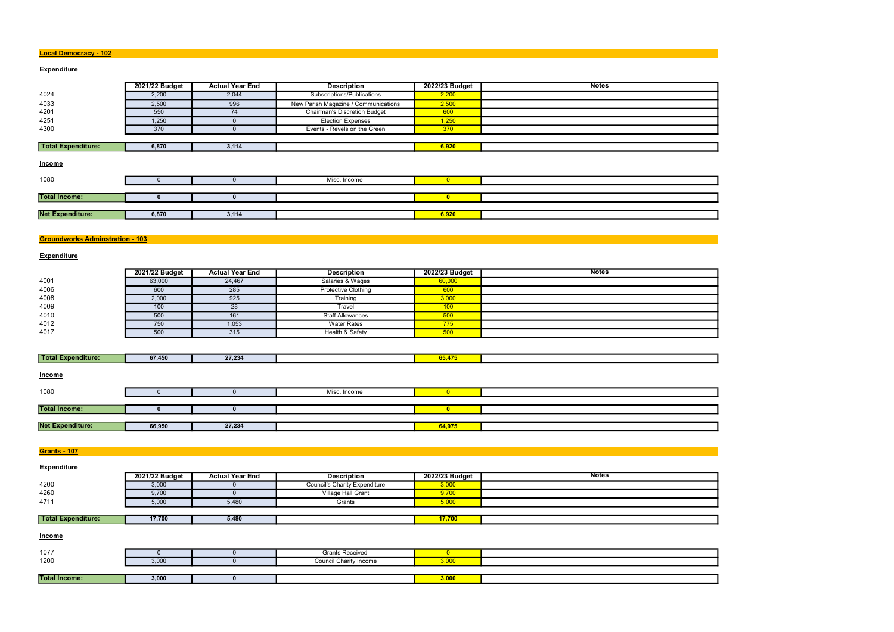### Local Democracy - 102

## **Expenditure**

|                         | 2021/22 Budget | <b>Actual Year End</b> | <b>Description</b>                   | 2022/23 Budget | <b>Notes</b> |
|-------------------------|----------------|------------------------|--------------------------------------|----------------|--------------|
| 4024                    | 2,200          | 2,044                  | Subscriptions/Publications           | 2,200          |              |
| 4033                    | 2,500          | 996                    | New Parish Magazine / Communications | 2,500          |              |
| 4201                    | 550            | 74                     | <b>Chairman's Discretion Budget</b>  | 600            |              |
| 4251                    | 1,250          | $\Omega$               | <b>Election Expenses</b>             | 1,250          |              |
| 4300                    | 370            |                        | Events - Revels on the Green         | 370            |              |
|                         |                |                        |                                      |                |              |
| Total Expenditure:      | 6,870          | 3,114                  |                                      | 6,920          |              |
| Income                  |                |                        |                                      |                |              |
| 1080                    |                |                        | Misc. Income                         | $\overline{0}$ |              |
|                         |                |                        |                                      |                |              |
| <b>Total Income:</b>    | 0              | 0                      |                                      | $\mathbf{0}$   |              |
|                         |                |                        |                                      |                |              |
| <b>Net Expenditure:</b> | 6,870          | 3,114                  |                                      | 6,920          |              |
|                         |                |                        |                                      |                |              |

## **Groundworks Adminstration - 103**

## **Expenditure**

|      | 2021/22 Budget | <b>Actual Year End</b> | <b>Description</b>      | 2022/23 Budget   | <b>Notes</b> |
|------|----------------|------------------------|-------------------------|------------------|--------------|
| 4001 | 63,000         | 24,467                 | Salaries & Wages        | 60,000           |              |
| 4006 | 600            | 285                    | Protective Clothing     | 600              |              |
| 4008 | 2,000          | 925                    | Training                | 3,000            |              |
| 4009 | 100            | 28                     | Travel                  | 100 <sub>1</sub> |              |
| 4010 | 500            | 161                    | <b>Staff Allowances</b> | 500              |              |
| 4012 | 750            | 1,053                  | <b>Water Rates</b>      | 775              |              |
| 4017 | 500            | 315                    | Health & Safety         | 500              |              |

| Total E<br><b>Expenditure:</b> | 67,450 | 27.234 | . . |  |
|--------------------------------|--------|--------|-----|--|
|                                |        |        |     |  |

| <b>Income</b>           |        |        |              |        |  |
|-------------------------|--------|--------|--------------|--------|--|
| 1080                    |        |        | Misc. Income |        |  |
|                         |        |        |              |        |  |
| <b>Total Income:</b>    |        |        |              |        |  |
|                         |        |        |              |        |  |
| <b>Net Expenditure:</b> | 66,950 | 27,234 |              | 64,975 |  |

**Grants - 107** 

| <b>Expenditure</b>        |                |                        |                                      |                |              |
|---------------------------|----------------|------------------------|--------------------------------------|----------------|--------------|
|                           | 2021/22 Budget | <b>Actual Year End</b> | <b>Description</b>                   | 2022/23 Budget | <b>Notes</b> |
| 4200                      | 3,000          |                        | <b>Council's Charity Expenditure</b> | 3,000          |              |
| 4260                      | 9,700          |                        | Village Hall Grant                   | 9,700          |              |
| 4711                      | 5,000          | 5,480                  | Grants                               | 5,000          |              |
|                           |                |                        |                                      |                |              |
| <b>Total Expenditure:</b> | 17,700         | 5,480                  |                                      | 17,700         |              |

**Income** 

| 1077                 |                       | <b>Grants Received</b> |                     |  |
|----------------------|-----------------------|------------------------|---------------------|--|
| 1200                 | 2000<br><b>J</b> ,UUU | Council Charity Income | 3,000               |  |
|                      |                       |                        |                     |  |
| <b>Total Income:</b> | 3,000                 |                        | ---<br><u>o,uuu</u> |  |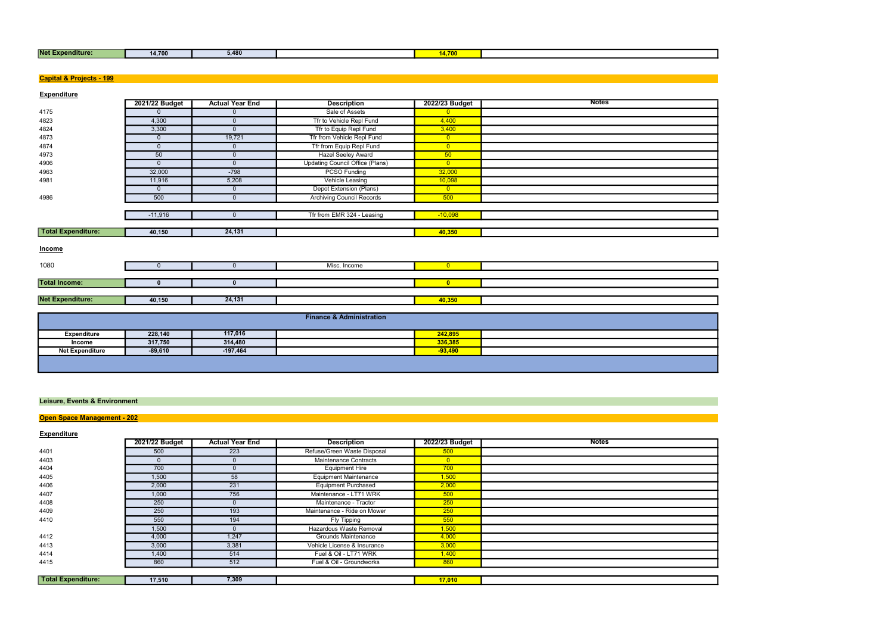| <b>Net Expe</b><br>enditure: | 14,700 | .<br>5.480 |  |  |
|------------------------------|--------|------------|--|--|
|                              |        |            |  |  |

| <b>Net Expenditure:</b>                  | 14,700         | 5,480                  |                                        | 14,700         |              |
|------------------------------------------|----------------|------------------------|----------------------------------------|----------------|--------------|
|                                          |                |                        |                                        |                |              |
|                                          |                |                        |                                        |                |              |
| <b>Capital &amp; Projects - 199</b>      |                |                        |                                        |                |              |
|                                          |                |                        |                                        |                |              |
| <b>Expenditure</b>                       | 2021/22 Budget | <b>Actual Year End</b> | <b>Description</b>                     | 2022/23 Budget | <b>Notes</b> |
| 4175                                     | $\mathbf 0$    | $\mathbf{0}$           | Sale of Assets                         | $\overline{0}$ |              |
| 4823                                     | 4,300          | $\mathbf 0$            | Tfr to Vehicle Repl Fund               | 4,400          |              |
| 4824                                     | 3,300          | $\overline{0}$         | Tfr to Equip Repl Fund                 | 3,400          |              |
| 4873                                     | $\mathbf{0}$   | 19,721                 | Tfr from Vehicle Repl Fund             | $\overline{0}$ |              |
| 4874                                     | $\overline{0}$ | $\mathbf{0}$           | Tfr from Equip Repl Fund               | $\overline{0}$ |              |
| 4973                                     | 50             | $\mathbf{0}$           | <b>Hazel Seeley Award</b>              | 50             |              |
| 4906                                     | $\overline{0}$ | $\overline{0}$         | <b>Updating Council Office (Plans)</b> | $\overline{0}$ |              |
| 4963                                     | 32,000         | $-798$                 | <b>PCSO Funding</b>                    | 32,000         |              |
| 4981                                     | 11,916         | 5,208                  | Vehicle Leasing                        | 10,098         |              |
|                                          | $\mathbf 0$    | $\mathbf 0$            | Depot Extension (Plans)                | $\overline{0}$ |              |
| 4986                                     | 500            | $\mathbf{0}$           | <b>Archiving Council Records</b>       | 500            |              |
|                                          |                |                        |                                        |                |              |
|                                          | $-11,916$      | $\mathbf 0$            | Tfr from EMR 324 - Leasing             | $-10,098$      |              |
|                                          |                |                        |                                        |                |              |
| <b>Total Expenditure:</b>                | 40,150         | 24,131                 |                                        | 40,350         |              |
|                                          |                |                        |                                        |                |              |
| <b>Income</b>                            |                |                        |                                        |                |              |
|                                          |                |                        |                                        |                |              |
| 1080                                     | $\mathbf{0}$   | $\overline{0}$         | Misc. Income                           | $\overline{0}$ |              |
|                                          |                |                        |                                        |                |              |
| <b>Total Income:</b>                     | $\mathbf{0}$   | $\mathbf 0$            |                                        | $\bullet$      |              |
|                                          |                |                        |                                        |                |              |
| <b>Net Expenditure:</b>                  | 40,150         | 24,131                 |                                        | 40,350         |              |
|                                          |                |                        |                                        |                |              |
|                                          |                |                        | <b>Finance &amp; Administration</b>    |                |              |
|                                          |                |                        |                                        |                |              |
| <b>Expenditure</b>                       | 228,140        | 117,016                |                                        | 242,895        |              |
| Income                                   | 317,750        | 314,480                |                                        | 336,385        |              |
| <b>Net Expenditure</b>                   | $-89,610$      | $-197,464$             |                                        | $-93,490$      |              |
|                                          |                |                        |                                        |                |              |
|                                          |                |                        |                                        |                |              |
|                                          |                |                        |                                        |                |              |
|                                          |                |                        |                                        |                |              |
| <b>Leisure, Events &amp; Environment</b> |                |                        |                                        |                |              |
|                                          |                |                        |                                        |                |              |
| <b>Open Space Management - 202</b>       |                |                        |                                        |                |              |
|                                          |                |                        |                                        |                |              |
| <b>Expenditure</b>                       |                |                        |                                        |                |              |
|                                          | 2021/22 Budget | <b>Actual Year End</b> | <b>Description</b>                     | 2022/23 Budget | <b>Notes</b> |
| 4401                                     | 500            | 223                    | Refuse/Green Waste Disposal            | 500            |              |
| 4403                                     | $\overline{0}$ | $\mathbf 0$            | Maintenance Contracts                  | $\overline{0}$ |              |
| 4404                                     | 700            | $\overline{0}$         | <b>Equipment Hire</b>                  | 700            |              |
| 4405                                     | 1,500          | 58                     | <b>Equipment Maintenance</b>           | 1,500          |              |
| 4406                                     | 2,000          | 231                    | <b>Equipment Purchased</b>             | 2,000          |              |
| 4407                                     | 1,000          | 756                    | Maintenance - LT71 WRK                 | 500            |              |
| 4408                                     | 250            | $\mathbf 0$            | Maintenance - Tractor                  | 250            |              |
| 4409                                     | 250            | 193                    | Maintenance - Ride on Mower            | 250            |              |
| 4410                                     | 550            | 194                    | <b>Fly Tipping</b>                     | 550            |              |
|                                          | 1,500          | $\mathbf 0$            | Hazardous Waste Removal                | 1,500          |              |
| 4412                                     | 4,000          | 1,247                  | <b>Grounds Maintenance</b>             | 4,000          |              |
| 4413                                     | 3,000          | 3,381                  | Vehicle License & Insurance            | 3,000          |              |
| 4414                                     | 1,400          | 514                    | Fuel & Oil - LT71 WRK                  | 1,400          |              |
| 4415                                     | 860            | 512                    | Fuel & Oil - Groundworks               | 860            |              |
|                                          |                |                        |                                        |                |              |
|                                          |                |                        |                                        |                |              |

|                    | 2021/22 Budget | <b>Actual Year End</b> | <b>Description</b>           | 2022/23 Budget | Notes |
|--------------------|----------------|------------------------|------------------------------|----------------|-------|
| 4401               | 500            | 223                    | Refuse/Green Waste Disposal  | 500            |       |
| 4403               |                |                        | Maintenance Contracts        | $\overline{0}$ |       |
| 4404               | 700            |                        | <b>Equipment Hire</b>        | 700            |       |
| 4405               | 1,500          | 58                     | <b>Equipment Maintenance</b> | 1,500          |       |
| 4406               | 2,000          | 231                    | <b>Equipment Purchased</b>   | 2,000          |       |
| 4407               | 1,000          | 756                    | Maintenance - LT71 WRK       | 500            |       |
| 4408               | 250            | 0                      | Maintenance - Tractor        | 250            |       |
| 4409               | 250            | 193                    | Maintenance - Ride on Mower  | 250            |       |
| 4410               | 550            | 194                    | Fly Tipping                  | 550            |       |
|                    | 1,500          |                        | Hazardous Waste Removal      | 1,500          |       |
| 4412               | 4,000          | 1,247                  | <b>Grounds Maintenance</b>   | 4,000          |       |
| 4413               | 3,000          | 3,381                  | Vehicle License & Insurance  | 3,000          |       |
| 4414               | 1,400          | 514                    | Fuel & Oil - LT71 WRK        | 1,400          |       |
| 4415               | 860            | 512                    | Fuel & Oil - Groundworks     | 860            |       |
|                    |                |                        |                              |                |       |
| Total Expenditure: | 17,510         | 7,309                  |                              | 17,010         |       |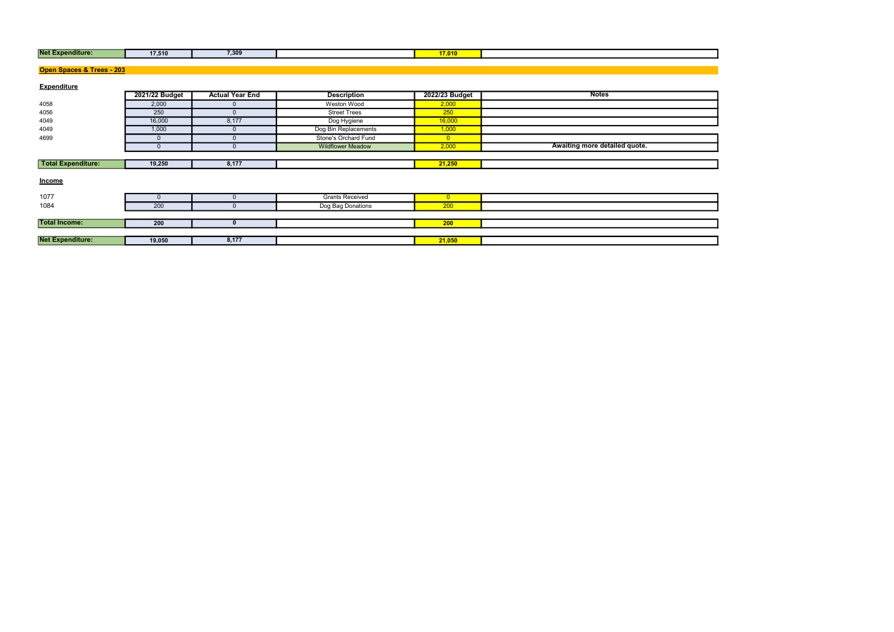| <b>Net Expenditure:</b> | 47.540<br>17,51U | 7,309 | $1 - 0.18$ |  |
|-------------------------|------------------|-------|------------|--|
|                         |                  |       |            |  |

| <b>Net Expenditure:</b>   | 17,510         | 7,309                  |                          | 17,010         |                               |
|---------------------------|----------------|------------------------|--------------------------|----------------|-------------------------------|
|                           |                |                        |                          |                |                               |
| Open Spaces & Trees - 203 |                |                        |                          |                |                               |
| <b>Expenditure</b>        |                |                        |                          |                |                               |
|                           | 2021/22 Budget | <b>Actual Year End</b> | <b>Description</b>       | 2022/23 Budget | <b>Notes</b>                  |
| 4058                      | 2,000          |                        | Weston Wood              | 2,000          |                               |
| 4056                      | 250            | $\Omega$               | <b>Street Trees</b>      | 250            |                               |
| 4049                      | 16,000         | 8,177                  | Dog Hygiene              | 16,000         |                               |
| 4049                      | 1,000          |                        | Dog Bin Replacements     | 1,000          |                               |
| 4699                      | $\mathbf{0}$   | $\Omega$               | Stone's Orchard Fund     | $\overline{0}$ |                               |
|                           | $\mathbf{0}$   |                        | <b>Wildflower Meadow</b> | 2,000          | Awaiting more detailed quote. |
|                           |                |                        |                          |                |                               |
| <b>Total Expenditure:</b> | 19,250         | 8,177                  |                          | 21,250         |                               |
| <b>Income</b>             |                |                        |                          |                |                               |
| 1077                      | $\mathbf{0}$   |                        | <b>Grants Received</b>   | $\overline{0}$ |                               |
| 1084                      | 200            |                        | Dog Bag Donations        | 200            |                               |
|                           |                |                        |                          |                |                               |
| <b>Total Income:</b>      | 200            | $\mathbf{0}$           |                          | 200            |                               |
|                           |                |                        |                          |                |                               |
| <b>Net Expenditure:</b>   | 19,050         | 8,177                  |                          | 21,050         |                               |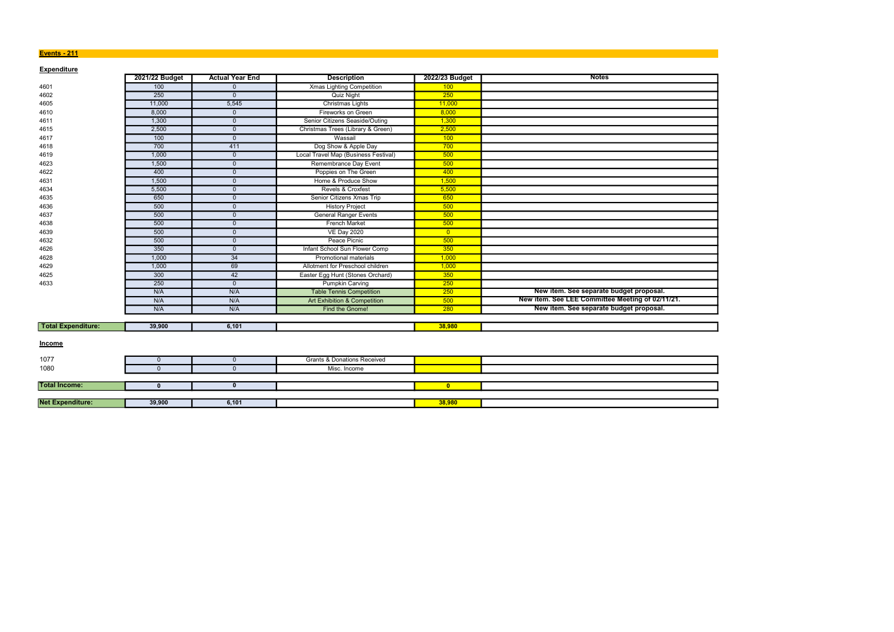### Events - 211

| <b>Expenditure</b>        |                |                        |                                         |                |                                                  |
|---------------------------|----------------|------------------------|-----------------------------------------|----------------|--------------------------------------------------|
|                           | 2021/22 Budget | <b>Actual Year End</b> | <b>Description</b>                      | 2022/23 Budget | <b>Notes</b>                                     |
| 4601                      | 100            | $\mathbf{0}$           | <b>Xmas Lighting Competition</b>        | 100            |                                                  |
| 4602                      | 250            | $\Omega$               | <b>Quiz Night</b>                       | 250            |                                                  |
| 4605                      | 11,000         | 5,545                  | Christmas Lights                        | 11,000         |                                                  |
| 4610                      | 8,000          | $\mathbf{0}$           | Fireworks on Green                      | 8,000          |                                                  |
| 4611                      | 1,300          | $\Omega$               | Senior Citizens Seaside/Outing          | 1,300          |                                                  |
| 4615                      | 2,500          | $\mathbf{0}$           | Christmas Trees (Library & Green)       | 2,500          |                                                  |
| 4617                      | 100            | $\Omega$               | Wassail                                 | 100            |                                                  |
| 4618                      | 700            | 411                    | Dog Show & Apple Day                    | 700            |                                                  |
| 4619                      | 1,000          | $\overline{0}$         | Local Travel Map (Business Festival)    | 500            |                                                  |
| 4623                      | 1,500          | $\mathbf{0}$           | Remembrance Day Event                   | 500            |                                                  |
| 4622                      | 400            | $\mathbf{0}$           | Poppies on The Green                    | 400            |                                                  |
| 4631                      | 1,500          | $\mathbf{0}$           | Home & Produce Show                     | 1,500          |                                                  |
| 4634                      | 5,500          | $\Omega$               | Revels & Croxfest                       | 5,500          |                                                  |
| 4635                      | 650            | $\Omega$               | Senior Citizens Xmas Trip               | 650            |                                                  |
| 4636                      | 500            | $\mathbf{0}$           | <b>History Project</b>                  | 500            |                                                  |
| 4637                      | 500            | $\mathbf{0}$           | <b>General Ranger Events</b>            | 500            |                                                  |
| 4638                      | 500            | $\Omega$               | <b>French Market</b>                    | 500            |                                                  |
| 4639                      | 500            | $\Omega$               | <b>VE Day 2020</b>                      | $\overline{0}$ |                                                  |
| 4632                      | 500            | $\Omega$               | Peace Picnic                            | 500            |                                                  |
| 4626                      | 350            | $\mathbf{0}$           | Infant School Sun Flower Comp           | 350            |                                                  |
| 4628                      | 1,000          | 34                     | Promotional materials                   | 1,000          |                                                  |
| 4629                      | 1,000          | 69                     | Allotment for Preschool children        | 1,000          |                                                  |
| 4625                      | 300            | 42                     | Easter Egg Hunt (Stones Orchard)        | 350            |                                                  |
| 4633                      | 250            | $\overline{0}$         | <b>Pumpkin Carving</b>                  | 250            |                                                  |
|                           | N/A            | N/A                    | <b>Table Tennis Competition</b>         | 250            | New item. See separate budget proposal.          |
|                           | N/A            | N/A                    | <b>Art Exhibition &amp; Competition</b> | 500            | New item. See LEE Committee Meeting of 02/11/21. |
|                           | N/A            | N/A                    | Find the Gnome!                         | 280            | New item. See separate budget proposal.          |
|                           |                |                        |                                         |                |                                                  |
| <b>Total Expenditure:</b> | 39,900         | 6,101                  |                                         | 38,980         |                                                  |
| <b>Income</b>             |                |                        |                                         |                |                                                  |
| 1077                      | $\mathbf{0}$   | $\mathbf{0}$           | <b>Grants &amp; Donations Received</b>  |                |                                                  |
| 1080                      | $\Omega$       | $\Omega$               | Misc. Income                            |                |                                                  |
|                           |                |                        |                                         |                |                                                  |
| <b>Total Income:</b>      | $\mathbf{0}$   | $\mathbf{0}$           |                                         | $\mathbf{0}$   |                                                  |
|                           |                |                        |                                         |                |                                                  |
| <b>Net Expenditure:</b>   | 39,900         | 6,101                  |                                         | 38,980         |                                                  |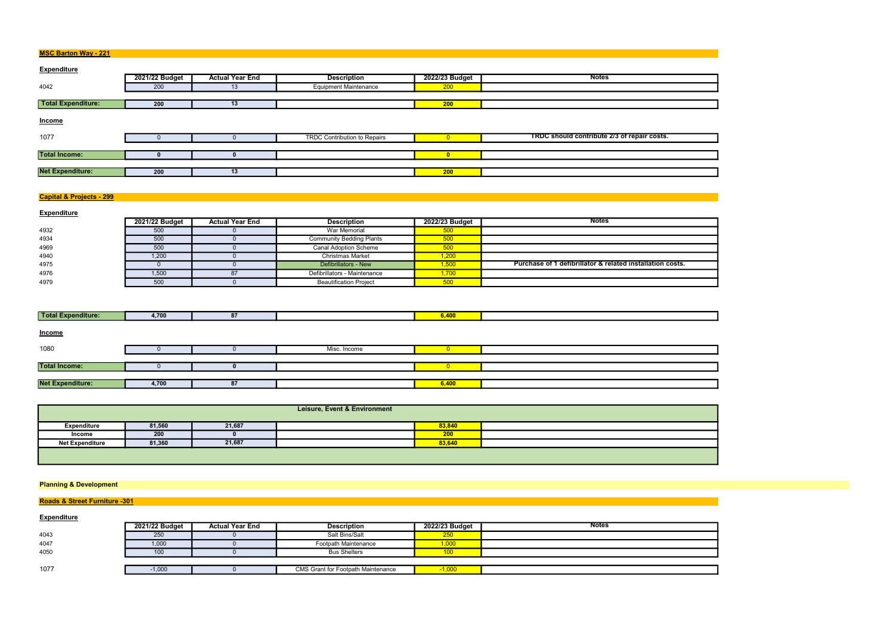| <b>MSC Barton Way - 221</b> |  |
|-----------------------------|--|
|-----------------------------|--|

| <b>Expenditure</b>        |                |                        |                              |                |                                             |
|---------------------------|----------------|------------------------|------------------------------|----------------|---------------------------------------------|
|                           | 2021/22 Budget | <b>Actual Year End</b> | <b>Description</b>           | 2022/23 Budget | <b>Notes</b>                                |
| 4042                      | 200            | 13                     | <b>Equipment Maintenance</b> | 200            |                                             |
|                           |                |                        |                              |                |                                             |
| <b>Total Expenditure:</b> | 200            | 13                     |                              | 200            |                                             |
| Income                    |                |                        |                              |                |                                             |
| 1077                      |                |                        | TRDC Contribution to Repairs |                | TRDC should contribute 2/3 of repair costs. |
|                           |                |                        |                              |                |                                             |
| <b>Total Income:</b>      | n              |                        |                              | n              |                                             |
|                           |                |                        |                              |                |                                             |
| <b>Net Expenditure:</b>   | 200            | 13                     |                              | 200            |                                             |

# Capital & Projects - 299

| <b>Expenditure</b> |                |                        |                                 |                |                                                           |
|--------------------|----------------|------------------------|---------------------------------|----------------|-----------------------------------------------------------|
|                    | 2021/22 Budget | <b>Actual Year End</b> | <b>Description</b>              | 2022/23 Budget | <b>Notes</b>                                              |
| 4932               | 500            |                        | War Memorial                    |                |                                                           |
| 4934               | 500            |                        | <b>Community Bedding Plants</b> | 500            |                                                           |
| 4969               | 500            |                        | <b>Canal Adoption Scheme</b>    | 500            |                                                           |
| 4940               | 1,200          |                        | <b>Christmas Market</b>         | 1,200          |                                                           |
| 4975               |                |                        | Defibrillators - New            | 1,500          | Purchase of 1 defibrillator & related installation costs. |
| 4976               | 1,500          | 87                     | Defibrillators - Maintenance    | 1,700          |                                                           |
| 4979               | 500            |                        | <b>Beautification Project</b>   | 500            |                                                           |

| Total Expenditure:      | 4,700 | 87 |              | 6,400 |  |
|-------------------------|-------|----|--------------|-------|--|
| <b>Income</b>           |       |    |              |       |  |
| 1080                    |       |    | Misc. Income |       |  |
|                         |       |    |              |       |  |
| <b>Total Income:</b>    |       |    |              |       |  |
|                         |       |    |              |       |  |
| <b>Net Expenditure:</b> | 4,700 | 87 |              | 6,400 |  |

| Leisure, Event & Environment |        |        |  |        |  |  |
|------------------------------|--------|--------|--|--------|--|--|
| Expenditure                  | 81,560 | 21,687 |  | 83,840 |  |  |
| Income                       | 200    |        |  | 200    |  |  |
| <b>Net Expenditure</b>       | 81,360 | 21,687 |  | 83,640 |  |  |
|                              |        |        |  |        |  |  |

# Planning & Development

# **Roads & Street Furniture -301**

| <b>Expenditure</b> |                |                        |                                           |                |              |
|--------------------|----------------|------------------------|-------------------------------------------|----------------|--------------|
|                    | 2021/22 Budget | <b>Actual Year End</b> | <b>Description</b>                        | 2022/23 Budget | <b>Notes</b> |
| 4043               | 250            |                        | Salt Bins/Salt                            | 250            |              |
| 4047               | 1,000          |                        | Footpath Maintenance                      | 1,000          |              |
| 4050               | 100            |                        | <b>Bus Shelters</b>                       |                |              |
|                    |                |                        |                                           |                |              |
| 1077               | $-1,000$       |                        | <b>CMS Grant for Footpath Maintenance</b> | $-1.000$       |              |

|  | ĺ |
|--|---|
|  |   |
|  |   |
|  |   |
|  |   |
|  |   |
|  |   |
|  |   |
|  |   |
|  |   |
|  |   |
|  |   |
|  |   |
|  |   |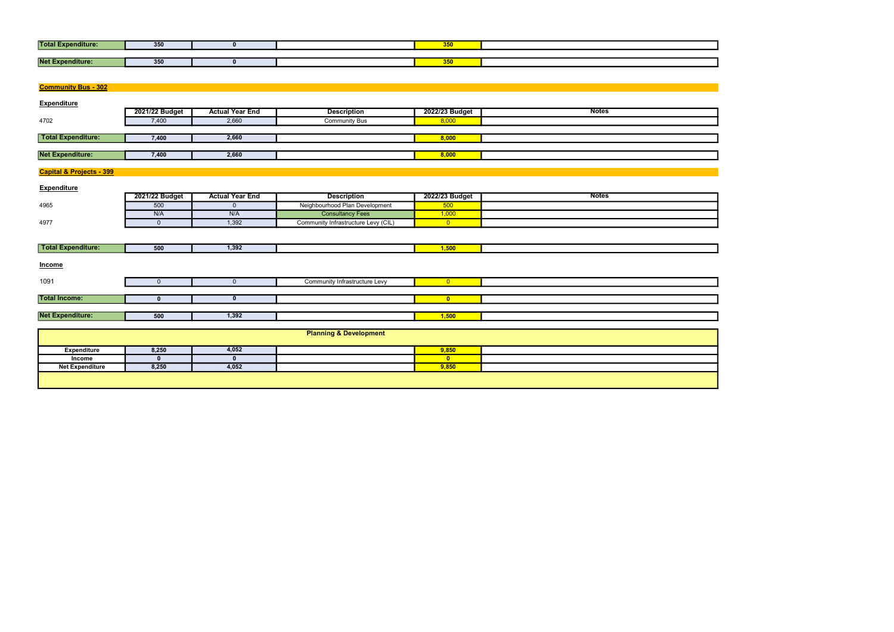| <b>Total E</b><br>:penditure: | 350 |  | $- - -$<br><u>vvu</u>                                             |  |
|-------------------------------|-----|--|-------------------------------------------------------------------|--|
|                               |     |  |                                                                   |  |
| Net Ex<br>nditure:            | 350 |  | <b>Section</b><br>$\bm{\mathsf{v}}\bm{\mathsf{v}}\bm{\mathsf{v}}$ |  |

| <b>Community Bus - 302</b>          |                |                        |                                     |                |              |
|-------------------------------------|----------------|------------------------|-------------------------------------|----------------|--------------|
| <b>Expenditure</b>                  |                |                        |                                     |                |              |
|                                     | 2021/22 Budget | <b>Actual Year End</b> | <b>Description</b>                  | 2022/23 Budget | <b>Notes</b> |
| 4702                                | 7,400          | 2,660                  | <b>Community Bus</b>                | 8,000          |              |
|                                     |                |                        |                                     |                |              |
| <b>Total Expenditure:</b>           | 7,400          | 2,660                  |                                     | 8,000          |              |
|                                     |                |                        |                                     |                |              |
| <b>Net Expenditure:</b>             | 7,400          | 2,660                  |                                     | 8,000          |              |
|                                     |                |                        |                                     |                |              |
| <b>Capital &amp; Projects - 399</b> |                |                        |                                     |                |              |
|                                     |                |                        |                                     |                |              |
| <b>Expenditure</b>                  | 2021/22 Budget | <b>Actual Year End</b> | <b>Description</b>                  | 2022/23 Budget | <b>Notes</b> |
| 4965                                | 500            | $\mathbf 0$            | Neighbourhood Plan Development      | 500            |              |
|                                     | N/A            | N/A                    | <b>Consultancy Fees</b>             | 1,000          |              |
| 4977                                | $\overline{0}$ | 1,392                  | Community Infrastructure Levy (CIL) | $\overline{0}$ |              |
|                                     |                |                        |                                     |                |              |
|                                     |                |                        |                                     |                |              |
| <b>Total Expenditure:</b>           | 500            | 1,392                  |                                     | 1,500          |              |
|                                     |                |                        |                                     |                |              |
| Income                              |                |                        |                                     |                |              |
|                                     |                |                        |                                     |                |              |
| 1091                                | $\overline{0}$ | $\overline{0}$         | Community Infrastructure Levy       | $\overline{0}$ |              |
|                                     |                |                        |                                     |                |              |
| <b>Total Income:</b>                | $\mathbf{0}$   | $\mathbf{0}$           |                                     | $\bullet$      |              |
| <b>Net Expenditure:</b>             |                | 1,392                  |                                     |                |              |
|                                     | 500            |                        |                                     | 1,500          |              |
|                                     |                |                        | <b>Planning &amp; Development</b>   |                |              |
|                                     |                |                        |                                     |                |              |
| <b>Expenditure</b>                  | 8,250          | 4,052                  |                                     | 9,850          |              |
| Income                              | $\mathbf{0}$   | $\mathbf 0$            |                                     | $\mathbf{0}$   |              |
| <b>Net Expenditure</b>              | 8,250          | 4,052                  |                                     | 9,850          |              |
|                                     |                |                        |                                     |                |              |